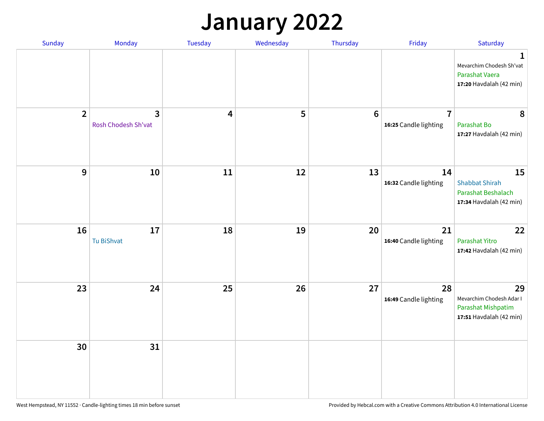## **January 2022**

| Sunday           | Monday                                | <b>Tuesday</b> | Wednesday | Thursday        | Friday                                  | Saturday                                                                        |
|------------------|---------------------------------------|----------------|-----------|-----------------|-----------------------------------------|---------------------------------------------------------------------------------|
|                  |                                       |                |           |                 |                                         | 1<br>Mevarchim Chodesh Sh'vat<br>Parashat Vaera<br>17:20 Havdalah (42 min)      |
| $\overline{2}$   | $\overline{3}$<br>Rosh Chodesh Sh'vat | 4              | 5         | $6\phantom{1}6$ | $\overline{7}$<br>16:25 Candle lighting | 8<br>Parashat Bo<br>17:27 Havdalah (42 min)                                     |
| $\boldsymbol{9}$ | 10                                    | 11             | 12        | 13              | 14<br>16:32 Candle lighting             | 15<br><b>Shabbat Shirah</b><br>Parashat Beshalach<br>17:34 Havdalah (42 min)    |
| 16               | 17<br>Tu BiShvat                      | 18             | 19        | 20              | 21<br>16:40 Candle lighting             | 22<br>Parashat Yitro<br>17:42 Havdalah (42 min)                                 |
| 23               | 24                                    | 25             | 26        | 27              | 28<br>16:49 Candle lighting             | 29<br>Mevarchim Chodesh Adar I<br>Parashat Mishpatim<br>17:51 Havdalah (42 min) |
| 30               | 31                                    |                |           |                 |                                         |                                                                                 |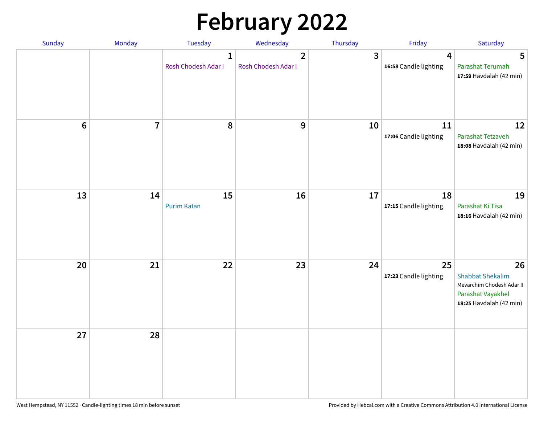# **February 2022**

| Sunday | Monday         | Tuesday                             | Wednesday                                      | Thursday                | Friday                      | Saturday                                                                                                   |
|--------|----------------|-------------------------------------|------------------------------------------------|-------------------------|-----------------------------|------------------------------------------------------------------------------------------------------------|
|        |                | $\mathbf{1}$<br>Rosh Chodesh Adar I | $\overline{\mathbf{2}}$<br>Rosh Chodesh Adar I | $\overline{\mathbf{3}}$ | 4<br>16:58 Candle lighting  | 5<br>Parashat Terumah<br>17:59 Havdalah (42 min)                                                           |
| $6\,$  | $\overline{7}$ | 8                                   | 9                                              | 10                      | 11<br>17:06 Candle lighting | 12<br>Parashat Tetzaveh<br>18:08 Havdalah (42 min)                                                         |
| 13     | 14             | 15<br><b>Purim Katan</b>            | 16                                             | 17                      | 18<br>17:15 Candle lighting | 19<br>Parashat Ki Tisa<br>18:16 Havdalah (42 min)                                                          |
| 20     | 21             | 22                                  | 23                                             | 24                      | 25<br>17:23 Candle lighting | 26<br><b>Shabbat Shekalim</b><br>Mevarchim Chodesh Adar II<br>Parashat Vayakhel<br>18:25 Havdalah (42 min) |
| 27     | 28             |                                     |                                                |                         |                             |                                                                                                            |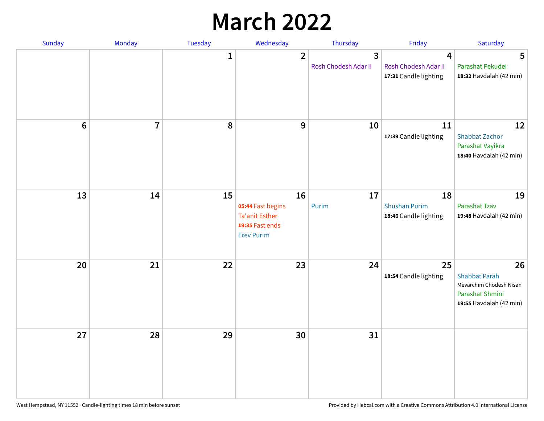## **March 2022**

| Sunday  | Monday         | <b>Tuesday</b> | Wednesday                                                                                | Thursday                  | Friday                                              | Saturday                                                                                            |
|---------|----------------|----------------|------------------------------------------------------------------------------------------|---------------------------|-----------------------------------------------------|-----------------------------------------------------------------------------------------------------|
|         |                | $\mathbf{1}$   | $\overline{2}$                                                                           | 3<br>Rosh Chodesh Adar II | 4<br>Rosh Chodesh Adar II<br>17:31 Candle lighting  | 5<br>Parashat Pekudei<br>18:32 Havdalah (42 min)                                                    |
| $\bf 6$ | $\overline{7}$ | 8              | 9                                                                                        | 10                        | 11<br>17:39 Candle lighting                         | 12<br><b>Shabbat Zachor</b><br>Parashat Vayikra<br>18:40 Havdalah (42 min)                          |
| 13      | 14             | 15             | 16<br>05:44 Fast begins<br><b>Ta'anit Esther</b><br>19:35 Fast ends<br><b>Erev Purim</b> | 17<br>Purim               | 18<br><b>Shushan Purim</b><br>18:46 Candle lighting | 19<br>Parashat Tzav<br>19:48 Havdalah (42 min)                                                      |
| 20      | 21             | 22             | 23                                                                                       | 24                        | 25<br>18:54 Candle lighting                         | 26<br><b>Shabbat Parah</b><br>Mevarchim Chodesh Nisan<br>Parashat Shmini<br>19:55 Havdalah (42 min) |
| 27      | 28             | 29             | 30                                                                                       | 31                        |                                                     |                                                                                                     |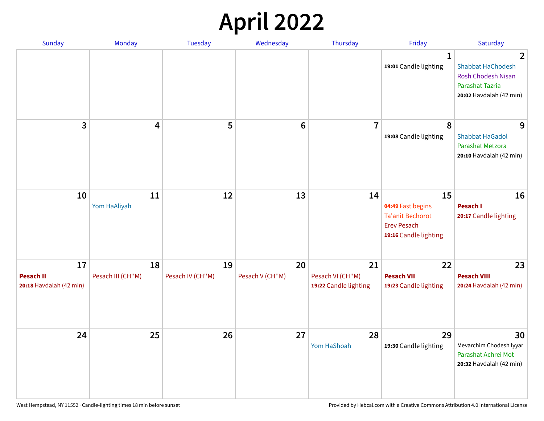## **April 2022**

| Sunday                                            | Monday                  | <b>Tuesday</b>         | Wednesday             | Thursday                                        | Friday                                                                                     | Saturday                                                                                                        |
|---------------------------------------------------|-------------------------|------------------------|-----------------------|-------------------------------------------------|--------------------------------------------------------------------------------------------|-----------------------------------------------------------------------------------------------------------------|
|                                                   |                         |                        |                       |                                                 | $\mathbf{1}$<br>19:01 Candle lighting                                                      | 2<br><b>Shabbat HaChodesh</b><br><b>Rosh Chodesh Nisan</b><br><b>Parashat Tazria</b><br>20:02 Havdalah (42 min) |
| 3                                                 | 4                       | 5                      | $6\phantom{1}$        | $\overline{7}$                                  | 8<br>19:08 Candle lighting                                                                 | 9<br><b>Shabbat HaGadol</b><br>Parashat Metzora<br>20:10 Havdalah (42 min)                                      |
| 10                                                | 11<br>Yom HaAliyah      | 12                     | 13                    | 14                                              | 15<br>04:49 Fast begins<br>Ta'anit Bechorot<br><b>Erev Pesach</b><br>19:16 Candle lighting | 16<br>Pesach I<br>20:17 Candle lighting                                                                         |
| 17<br><b>Pesach II</b><br>20:18 Havdalah (42 min) | 18<br>Pesach III (CH"M) | 19<br>Pesach IV (CH"M) | 20<br>Pesach V (CH"M) | 21<br>Pesach VI (CH"M)<br>19:22 Candle lighting | 22<br><b>Pesach VII</b><br>19:23 Candle lighting                                           | 23<br><b>Pesach VIII</b><br>20:24 Havdalah (42 min)                                                             |
| 24                                                | 25                      | 26                     | 27                    | 28<br>Yom HaShoah                               | 29<br>19:30 Candle lighting                                                                | 30<br>Mevarchim Chodesh Iyyar<br>Parashat Achrei Mot<br>20:32 Havdalah (42 min)                                 |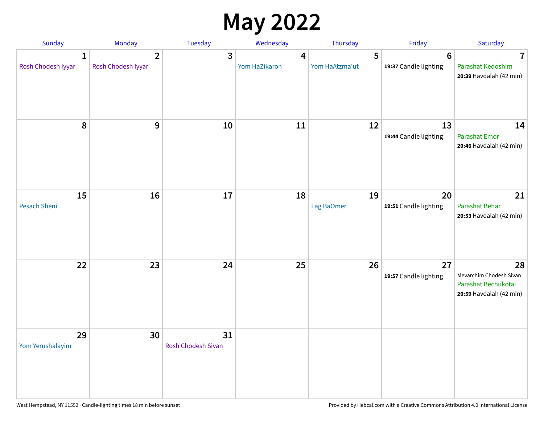## **May 2022**

| Sunday                             | Monday                               | Tuesday                         | Wednesday          | Thursday            | Friday                                   | Saturday                                                                        |
|------------------------------------|--------------------------------------|---------------------------------|--------------------|---------------------|------------------------------------------|---------------------------------------------------------------------------------|
| $\mathbf{1}$<br>Rosh Chodesh Iyyar | $\overline{2}$<br>Rosh Chodesh Iyyar | 3                               | 4<br>Yom HaZikaron | 5<br>Yom HaAtzma'ut | $6\phantom{1}6$<br>19:37 Candle lighting | $\overline{\mathbf{7}}$<br>Parashat Kedoshim<br>20:39 Havdalah (42 min)         |
| 8                                  | 9                                    | 10                              | 11                 | 12                  | 13<br>19:44 Candle lighting              | 14<br><b>Parashat Emor</b><br>20:46 Havdalah (42 min)                           |
| 15<br>Pesach Sheni                 | 16                                   | 17                              | 18                 | 19<br>Lag BaOmer    | 20<br>19:51 Candle lighting              | 21<br>Parashat Behar<br>20:53 Havdalah (42 min)                                 |
| 22                                 | 23                                   | 24                              | 25                 | 26                  | 27<br>19:57 Candle lighting              | 28<br>Mevarchim Chodesh Sivan<br>Parashat Bechukotai<br>20:59 Havdalah (42 min) |
| 29<br>Yom Yerushalayim             | 30                                   | 31<br><b>Rosh Chodesh Sivan</b> |                    |                     |                                          |                                                                                 |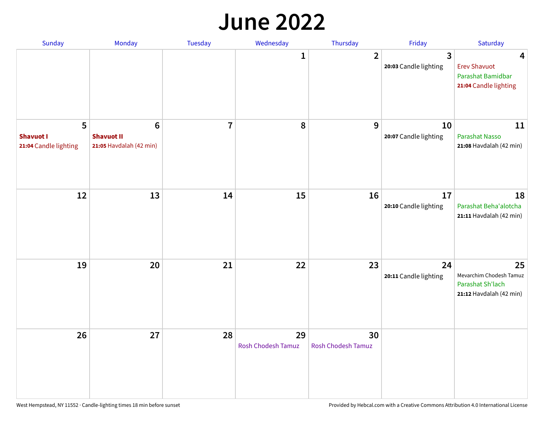#### **June 2022**

| Sunday                                         | Monday                                                         | Tuesday        | Wednesday                       | Thursday                        | Friday                      | Saturday                                                                     |
|------------------------------------------------|----------------------------------------------------------------|----------------|---------------------------------|---------------------------------|-----------------------------|------------------------------------------------------------------------------|
|                                                |                                                                |                | 1                               | $\overline{2}$                  | 3<br>20:03 Candle lighting  | 4<br><b>Erev Shavuot</b><br>Parashat Bamidbar<br>21:04 Candle lighting       |
| 5<br><b>Shavuot I</b><br>21:04 Candle lighting | $6\phantom{1}$<br><b>Shavuot II</b><br>21:05 Havdalah (42 min) | $\overline{7}$ | 8                               | 9                               | 10<br>20:07 Candle lighting | 11<br><b>Parashat Nasso</b><br>21:08 Havdalah (42 min)                       |
| 12                                             | 13                                                             | 14             | 15                              | 16                              | 17<br>20:10 Candle lighting | 18<br>Parashat Beha'alotcha<br>21:11 Havdalah (42 min)                       |
| 19                                             | 20                                                             | 21             | 22                              | 23                              | 24<br>20:11 Candle lighting | 25<br>Mevarchim Chodesh Tamuz<br>Parashat Sh'lach<br>21:12 Havdalah (42 min) |
| 26                                             | 27                                                             | 28             | 29<br><b>Rosh Chodesh Tamuz</b> | 30<br><b>Rosh Chodesh Tamuz</b> |                             |                                                                              |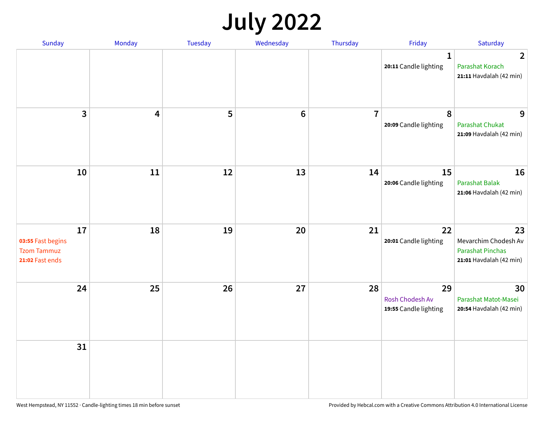## **July 2022**

| Sunday                                                           | Monday | Tuesday | Wednesday      | Thursday       | Friday                                         | Saturday                                                                         |
|------------------------------------------------------------------|--------|---------|----------------|----------------|------------------------------------------------|----------------------------------------------------------------------------------|
|                                                                  |        |         |                |                | $\mathbf{1}$<br>20:11 Candle lighting          | $\overline{2}$<br>Parashat Korach<br>21:11 Havdalah (42 min)                     |
| $\mathbf{3}$                                                     | 4      | 5       | $6\phantom{1}$ | $\overline{7}$ | 8<br>20:09 Candle lighting                     | 9<br>Parashat Chukat<br>21:09 Havdalah (42 min)                                  |
| 10                                                               | 11     | 12      | 13             | 14             | 15<br>20:06 Candle lighting                    | 16<br><b>Parashat Balak</b><br>21:06 Havdalah (42 min)                           |
| 17<br>03:55 Fast begins<br><b>Tzom Tammuz</b><br>21:02 Fast ends | 18     | 19      | 20             | 21             | 22<br>20:01 Candle lighting                    | 23<br>Mevarchim Chodesh Av<br><b>Parashat Pinchas</b><br>21:01 Havdalah (42 min) |
| 24                                                               | 25     | 26      | 27             | 28             | 29<br>Rosh Chodesh Av<br>19:55 Candle lighting | 30<br>Parashat Matot-Masei<br>20:54 Havdalah (42 min)                            |
| 31                                                               |        |         |                |                |                                                |                                                                                  |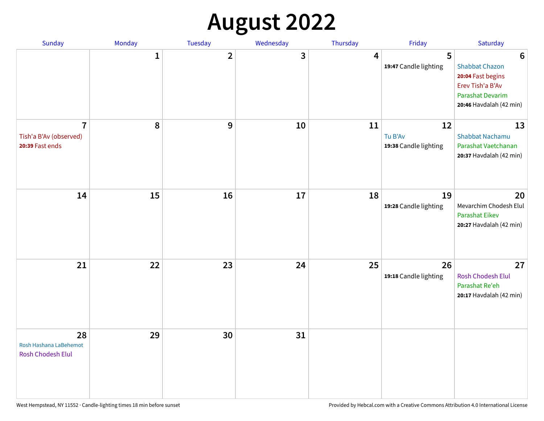## **August 2022**

| Sunday                                                      | Monday       | Tuesday                 | Wednesday | Thursday | Friday                                 | Saturday                                                                                                                         |
|-------------------------------------------------------------|--------------|-------------------------|-----------|----------|----------------------------------------|----------------------------------------------------------------------------------------------------------------------------------|
|                                                             | $\mathbf{1}$ | $\overline{\mathbf{2}}$ | 3         | 4        | 5<br>19:47 Candle lighting             | $6\phantom{1}6$<br><b>Shabbat Chazon</b><br>20:04 Fast begins<br>Erev Tish'a B'Av<br>Parashat Devarim<br>20:46 Havdalah (42 min) |
| $\overline{1}$<br>Tish'a B'Av (observed)<br>20:39 Fast ends | 8            | 9                       | 10        | 11       | 12<br>Tu B'Av<br>19:38 Candle lighting | 13<br><b>Shabbat Nachamu</b><br>Parashat Vaetchanan<br>20:37 Havdalah (42 min)                                                   |
| 14                                                          | 15           | 16                      | 17        | 18       | 19<br>19:28 Candle lighting            | 20<br>Mevarchim Chodesh Elul<br>Parashat Eikev<br>20:27 Havdalah (42 min)                                                        |
| 21                                                          | 22           | 23                      | 24        | 25       | 26<br>19:18 Candle lighting            | 27<br><b>Rosh Chodesh Elul</b><br>Parashat Re'eh<br>20:17 Havdalah (42 min)                                                      |
| 28<br>Rosh Hashana LaBehemot<br><b>Rosh Chodesh Elul</b>    | 29           | 30                      | 31        |          |                                        |                                                                                                                                  |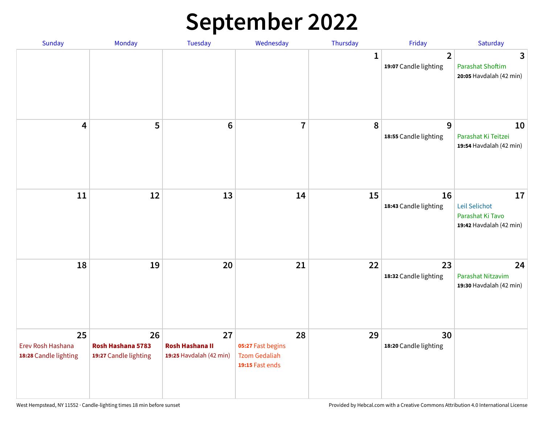## **September 2022**

| Sunday                                           | Monday                                           | Tuesday                                                 | Wednesday                                                          | Thursday | Friday                                  | Saturday                                                           |
|--------------------------------------------------|--------------------------------------------------|---------------------------------------------------------|--------------------------------------------------------------------|----------|-----------------------------------------|--------------------------------------------------------------------|
|                                                  |                                                  |                                                         |                                                                    | 1        | $\overline{2}$<br>19:07 Candle lighting | 3<br><b>Parashat Shoftim</b><br>20:05 Havdalah (42 min)            |
| 4                                                | 5                                                | $6\phantom{1}6$                                         | $\overline{7}$                                                     | 8        | 9<br>18:55 Candle lighting              | 10<br>Parashat Ki Teitzei<br>19:54 Havdalah (42 min)               |
| 11                                               | 12                                               | 13                                                      | 14                                                                 | 15       | 16<br>18:43 Candle lighting             | 17<br>Leil Selichot<br>Parashat Ki Tavo<br>19:42 Havdalah (42 min) |
| 18                                               | 19                                               | 20                                                      | 21                                                                 | 22       | 23<br>18:32 Candle lighting             | 24<br>Parashat Nitzavim<br>19:30 Havdalah (42 min)                 |
| 25<br>Erev Rosh Hashana<br>18:28 Candle lighting | 26<br>Rosh Hashana 5783<br>19:27 Candle lighting | 27<br><b>Rosh Hashana II</b><br>19:25 Havdalah (42 min) | 28<br>05:27 Fast begins<br><b>Tzom Gedaliah</b><br>19:15 Fast ends | 29       | 30<br>18:20 Candle lighting             |                                                                    |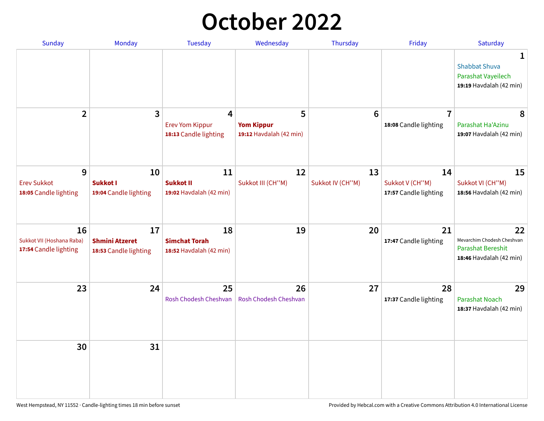## **October 2022**

| Sunday                                                   | Monday                                               | <b>Tuesday</b>                                        | Wednesday                                         | Thursday               | Friday                                         | Saturday                                                                         |
|----------------------------------------------------------|------------------------------------------------------|-------------------------------------------------------|---------------------------------------------------|------------------------|------------------------------------------------|----------------------------------------------------------------------------------|
|                                                          |                                                      |                                                       |                                                   |                        |                                                | 1<br><b>Shabbat Shuva</b><br>Parashat Vayeilech<br>19:19 Havdalah (42 min)       |
| $\mathbf{2}$                                             | 3                                                    | 4<br><b>Erev Yom Kippur</b><br>18:13 Candle lighting  | 5<br><b>Yom Kippur</b><br>19:12 Havdalah (42 min) | $6\phantom{1}6$        | $\overline{7}$<br>18:08 Candle lighting        | 8<br>Parashat Ha'Azinu<br>19:07 Havdalah (42 min)                                |
| 9<br><b>Erev Sukkot</b><br>18:05 Candle lighting         | 10<br><b>Sukkot I</b><br>19:04 Candle lighting       | 11<br><b>Sukkot II</b><br>19:02 Havdalah (42 min)     | 12<br>Sukkot III (CH"M)                           | 13<br>Sukkot IV (CH"M) | 14<br>Sukkot V (CH"M)<br>17:57 Candle lighting | 15<br>Sukkot VI (CH"M)<br>18:56 Havdalah (42 min)                                |
| 16<br>Sukkot VII (Hoshana Raba)<br>17:54 Candle lighting | 17<br><b>Shmini Atzeret</b><br>18:53 Candle lighting | 18<br><b>Simchat Torah</b><br>18:52 Havdalah (42 min) | 19                                                | 20                     | 21<br>17:47 Candle lighting                    | 22<br>Mevarchim Chodesh Cheshvan<br>Parashat Bereshit<br>18:46 Havdalah (42 min) |
| 23                                                       | 24                                                   | 25<br>Rosh Chodesh Cheshvan                           | 26<br><b>Rosh Chodesh Cheshvan</b>                | 27                     | 28<br>17:37 Candle lighting                    | 29<br><b>Parashat Noach</b><br>18:37 Havdalah (42 min)                           |
| 30                                                       | 31                                                   |                                                       |                                                   |                        |                                                |                                                                                  |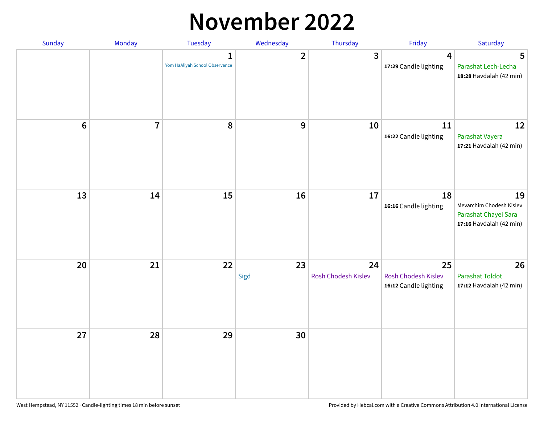### **November 2022**

| Sunday         | Monday         | Tuesday                             | Wednesday      | Thursday                  | Friday                                             | Saturday                                                                          |
|----------------|----------------|-------------------------------------|----------------|---------------------------|----------------------------------------------------|-----------------------------------------------------------------------------------|
|                |                | 1<br>Yom HaAliyah School Observance | $\overline{2}$ | $\overline{3}$            | 4<br>17:29 Candle lighting                         | 5<br>Parashat Lech-Lecha<br>18:28 Havdalah (42 min)                               |
| $6\phantom{1}$ | $\overline{7}$ | 8                                   | 9              | 10                        | 11<br>16:22 Candle lighting                        | 12<br>Parashat Vayera<br>17:21 Havdalah (42 min)                                  |
| 13             | 14             | 15                                  | 16             | 17                        | 18<br>16:16 Candle lighting                        | 19<br>Mevarchim Chodesh Kislev<br>Parashat Chayei Sara<br>17:16 Havdalah (42 min) |
| 20             | 21             | 22                                  | 23<br>Sigd     | 24<br>Rosh Chodesh Kislev | 25<br>Rosh Chodesh Kislev<br>16:12 Candle lighting | 26<br><b>Parashat Toldot</b><br>17:12 Havdalah (42 min)                           |
| 27             | 28             | 29                                  | 30             |                           |                                                    |                                                                                   |